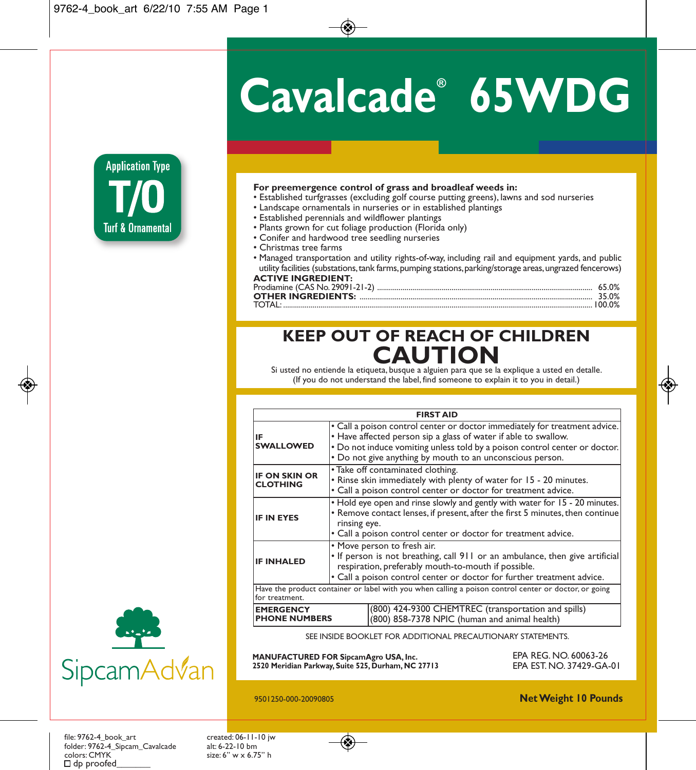# **Cavalcade ® 65WDG**



#### **For preemergence control of grass and broadleaf weeds in:**

- Established turfgrasses (excluding golf course putting greens), lawns and sod nurseries
- Landscape ornamentals in nurseries or in established plantings
- Established perennials and wildflower plantings
- Plants grown for cut foliage production (Florida only)
- Conifer and hardwood tree seedling nurseries
- Christmas tree farms
- Managed transportation and utility rights-of-way, including rail and equipment yards, and public utility facilities (substations, tank farms, pumping stations, parking/storage areas, ungrazed fencerows) **ACTIVE INGREDIENT:**

| TOTAL |  |
|-------|--|

# **KEEP OUT OF REACH OF CHILDREN** Si usted no entiende la etiqueta, busque a alguien para que se la explique a usted en detalle. **CAUTIO**

(If you do not understand the label, find someone to explain it to you in detail.)

|                                                                                                                                                                                                                                                                   | <b>FIRST AID</b>                                                                                                                                                                                                                               |                                                                                                                                                                                                                                                                                          |  |
|-------------------------------------------------------------------------------------------------------------------------------------------------------------------------------------------------------------------------------------------------------------------|------------------------------------------------------------------------------------------------------------------------------------------------------------------------------------------------------------------------------------------------|------------------------------------------------------------------------------------------------------------------------------------------------------------------------------------------------------------------------------------------------------------------------------------------|--|
| IF<br><b>SWALLOWED</b>                                                                                                                                                                                                                                            |                                                                                                                                                                                                                                                | • Call a poison control center or doctor immediately for treatment advice.<br>• Have affected person sip a glass of water if able to swallow.<br>. Do not induce vomiting unless told by a poison control center or doctor.<br>• Do not give anything by mouth to an unconscious person. |  |
| <b>IF ON SKIN OR</b><br><b>CLOTHING</b>                                                                                                                                                                                                                           | • Take off contaminated clothing.<br>. Rinse skin immediately with plenty of water for 15 - 20 minutes.<br>· Call a poison control center or doctor for treatment advice.                                                                      |                                                                                                                                                                                                                                                                                          |  |
| <b>IF IN EYES</b>                                                                                                                                                                                                                                                 | . Hold eye open and rinse slowly and gently with water for 15 - 20 minutes.<br>• Remove contact lenses, if present, after the first 5 minutes, then continue<br>rinsing eye.<br>• Call a poison control center or doctor for treatment advice. |                                                                                                                                                                                                                                                                                          |  |
| • Move person to fresh air.<br>. If person is not breathing, call 911 or an ambulance, then give artificial<br><b>IF INHALED</b><br>respiration, preferably mouth-to-mouth if possible.<br>. Call a poison control center or doctor for further treatment advice. |                                                                                                                                                                                                                                                |                                                                                                                                                                                                                                                                                          |  |
| Have the product container or label with you when calling a poison control center or doctor, or going<br>for treatment.                                                                                                                                           |                                                                                                                                                                                                                                                |                                                                                                                                                                                                                                                                                          |  |
| (800) 424-9300 CHEMTREC (transportation and spills)<br><b>EMERGENCY</b><br><b>PHONE NUMBERS</b><br>(800) 858-7378 NPIC (human and animal health)                                                                                                                  |                                                                                                                                                                                                                                                |                                                                                                                                                                                                                                                                                          |  |

SEE INSIDE BOOKLET FOR ADDITIONAL PRECAUTIONARY STATEMENTS.

**MANUFACTURED FOR SipcamAgro USA, Inc. 2520 Meridian Parkway, Suite 525, Durham, NC 27713** EPA REG. NO. 60063-26 EPA EST. NO. 37429-GA-01



9501250-000-20090805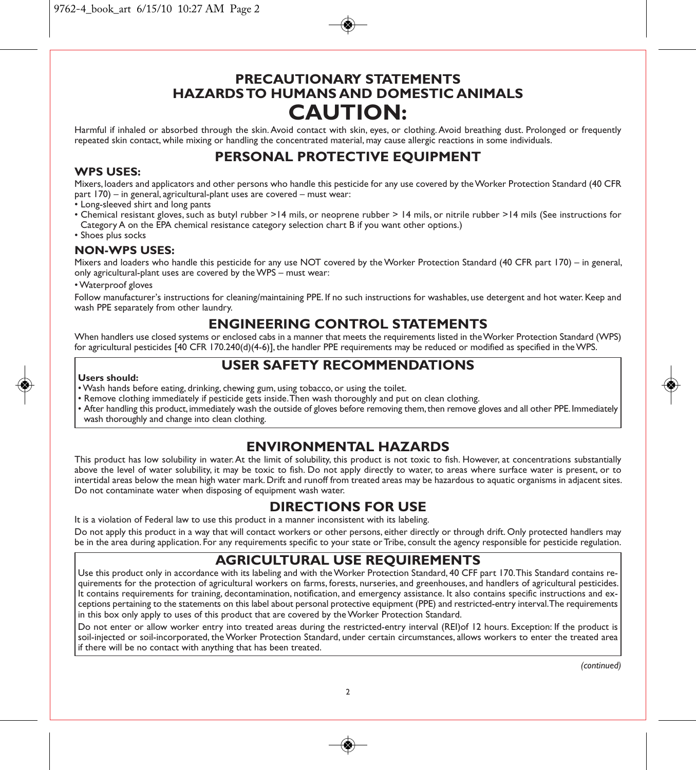# **PRECAUTIONARY STATEMENTS HAZARDS TO HUMANS AND DOMESTIC ANIMALS CAUTION:**

Harmful if inhaled or absorbed through the skin. Avoid contact with skin, eyes, or clothing. Avoid breathing dust. Prolonged or frequently repeated skin contact, while mixing or handling the concentrated material, may cause allergic reactions in some individuals.

# **PERSONAL PROTECTIVE EQUIPMENT**

#### **WPS USES:**

Mixers, loaders and applicators and other persons who handle this pesticide for any use covered by the Worker Protection Standard (40 CFR part 170) – in general, agricultural-plant uses are covered – must wear:

- Long-sleeved shirt and long pants
- Chemical resistant gloves, such as butyl rubber >14 mils, or neoprene rubber > 14 mils, or nitrile rubber >14 mils (See instructions for Category A on the EPA chemical resistance category selection chart B if you want other options.)
- Shoes plus socks

#### **NON-WPS USES:**

Mixers and loaders who handle this pesticide for any use NOT covered by the Worker Protection Standard (40 CFR part 170) – in general, only agricultural-plant uses are covered by the WPS – must wear:

• Waterproof gloves

Follow manufacturer's instructions for cleaning/maintaining PPE. If no such instructions for washables, use detergent and hot water. Keep and wash PPE separately from other laundry.

# **ENGINEERING CONTROL STATEMENTS**

When handlers use closed systems or enclosed cabs in a manner that meets the requirements listed in the Worker Protection Standard (WPS) for agricultural pesticides [40 CFR 170.240(d)(4-6)], the handler PPE requirements may be reduced or modified as specified in the WPS.

# **USER SAFETY RECOMMENDATIONS**

#### **Users should:**

- Wash hands before eating, drinking, chewing gum, using tobacco, or using the toilet.
- Remove clothing immediately if pesticide gets inside. Then wash thoroughly and put on clean clothing.
- After handling this product, immediately wash the outside of gloves before removing them, then remove gloves and all other PPE. Immediately wash thoroughly and change into clean clothing.

## **ENVIRONMENTAL HAZARDS**

This product has low solubility in water. At the limit of solubility, this product is not toxic to fish. However, at concentrations substantially above the level of water solubility, it may be toxic to fish. Do not apply directly to water, to areas where surface water is present, or to intertidal areas below the mean high water mark. Drift and runoff from treated areas may be hazardous to aquatic organisms in adjacent sites. Do not contaminate water when disposing of equipment wash water.

# **DIRECTIONS FOR USE**

It is a violation of Federal law to use this product in a manner inconsistent with its labeling.

Do not apply this product in a way that will contact workers or other persons, either directly or through drift. Only protected handlers may be in the area during application. For any requirements specific to your state or Tribe, consult the agency responsible for pesticide regulation.

## **AGRICULTURAL USE REQUIREMENTS**

Use this product only in accordance with its labeling and with the Worker Protection Standard, 40 CFF part 170. This Standard contains requirements for the protection of agricultural workers on farms, forests, nurseries, and greenhouses, and handlers of agricultural pesticides. It contains requirements for training, decontamination, notification, and emergency assistance. It also contains specific instructions and exceptions pertaining to the statements on this label about personal protective equipment (PPE) and restricted-entry interval. The requirements in this box only apply to uses of this product that are covered by the Worker Protection Standard.

Do not enter or allow worker entry into treated areas during the restricted-entry interval (REI)of 12 hours. Exception: If the product is soil-injected or soil-incorporated, the Worker Protection Standard, under certain circumstances, allows workers to enter the treated area if there will be no contact with anything that has been treated.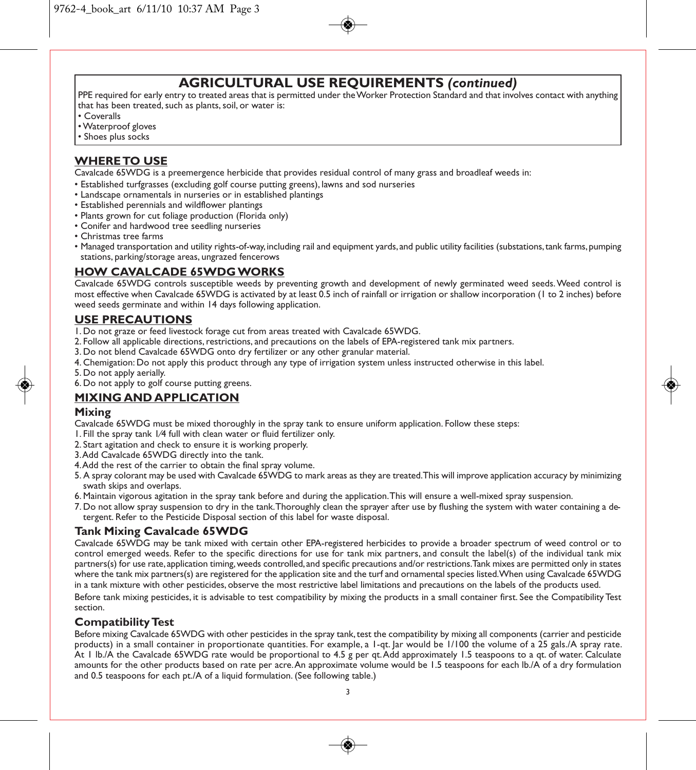# **AGRICULTURAL USE REQUIREMENTS** *(continued)*

PPE required for early entry to treated areas that is permitted under the Worker Protection Standard and that involves contact with anything that has been treated, such as plants, soil, or water is:

- Coveralls
- Waterproof gloves
- Shoes plus socks

#### **WHERE TO USE**

Cavalcade 65WDG is a preemergence herbicide that provides residual control of many grass and broadleaf weeds in:

- Established turfgrasses (excluding golf course putting greens), lawns and sod nurseries
- Landscape ornamentals in nurseries or in established plantings
- Established perennials and wildflower plantings
- Plants grown for cut foliage production (Florida only)
- Conifer and hardwood tree seedling nurseries
- Christmas tree farms
- Managed transportation and utility rights-of-way, including rail and equipment yards, and public utility facilities (substations, tank farms, pumping stations, parking/storage areas, ungrazed fencerows

#### **HOW CAVALCADE 65WDG WORKS**

Cavalcade 65WDG controls susceptible weeds by preventing growth and development of newly germinated weed seeds. Weed control is most effective when Cavalcade 65WDG is activated by at least 0.5 inch of rainfall or irrigation or shallow incorporation (1 to 2 inches) before weed seeds germinate and within 14 days following application.

#### **USE PRECAUTIONS**

- 1. Do not graze or feed livestock forage cut from areas treated with Cavalcade 65WDG.
- 2. Follow all applicable directions, restrictions, and precautions on the labels of EPA-registered tank mix partners.
- 3. Do not blend Cavalcade 65WDG onto dry fertilizer or any other granular material.
- 4. Chemigation: Do not apply this product through any type of irrigation system unless instructed otherwise in this label.
- 5. Do not apply aerially.
- 6. Do not apply to golf course putting greens.

#### **MIXING AND APPLICATION**

#### **Mixing**

- Cavalcade 65WDG must be mixed thoroughly in the spray tank to ensure uniform application. Follow these steps:
- 1. Fill the spray tank 1⁄4 full with clean water or fluid fertilizer only.
- 2. Start agitation and check to ensure it is working properly.
- 3. Add Cavalcade 65WDG directly into the tank.
- 4. Add the rest of the carrier to obtain the final spray volume.
- 5. A spray colorant may be used with Cavalcade 65WDG to mark areas as they are treated. This will improve application accuracy by minimizing swath skips and overlaps.
- 6. Maintain vigorous agitation in the spray tank before and during the application. This will ensure a well-mixed spray suspension.
- 7. Do not allow spray suspension to dry in the tank. Thoroughly clean the sprayer after use by flushing the system with water containing a detergent. Refer to the Pesticide Disposal section of this label for waste disposal.

#### **Tank Mixing Cavalcade 65WDG**

Cavalcade 65WDG may be tank mixed with certain other EPA-registered herbicides to provide a broader spectrum of weed control or to control emerged weeds. Refer to the specific directions for use for tank mix partners, and consult the label(s) of the individual tank mix partners(s) for use rate, application timing, weeds controlled, and specific precautions and/or restrictions. Tank mixes are permitted only in states where the tank mix partners(s) are registered for the application site and the turf and ornamental species listed. When using Cavalcade 65WDG in a tank mixture with other pesticides, observe the most restrictive label limitations and precautions on the labels of the products used.

Before tank mixing pesticides, it is advisable to test compatibility by mixing the products in a small container first. See the Compatibility Test section.

#### **Compatibility Test**

Before mixing Cavalcade 65WDG with other pesticides in the spray tank, test the compatibility by mixing all components (carrier and pesticide products) in a small container in proportionate quantities. For example, a 1-qt. Jar would be 1/100 the volume of a 25 gals./A spray rate. At 1 lb./A the Cavalcade 65WDG rate would be proportional to 4.5 g per qt. Add approximately 1.5 teaspoons to a qt. of water. Calculate amounts for the other products based on rate per acre. An approximate volume would be 1.5 teaspoons for each lb./A of a dry formulation and 0.5 teaspoons for each pt./A of a liquid formulation. (See following table.)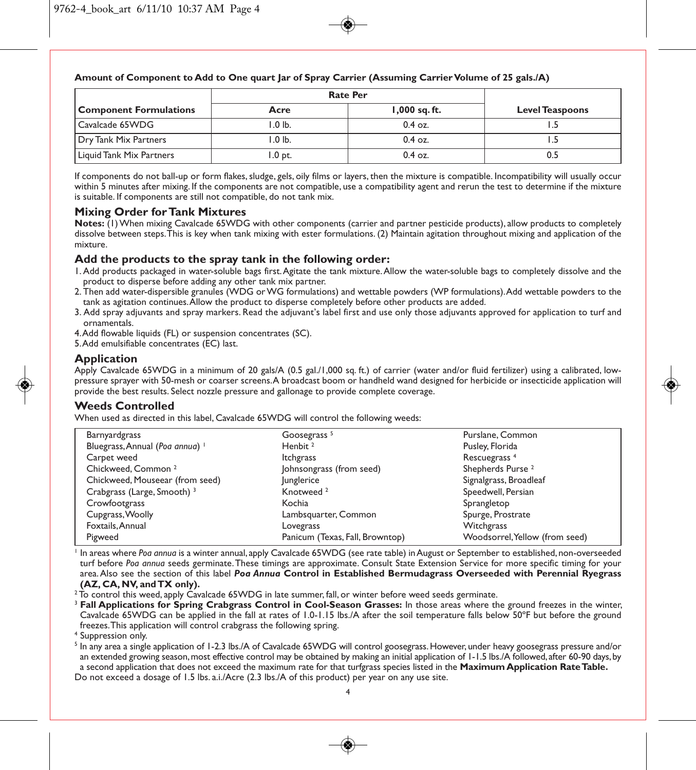#### **Amount of Component to Add to One quart Jar of Spray Carrier (Assuming Carrier Volume of 25 gals./A)**

|                               | <b>Rate Per</b> |                 |                        |
|-------------------------------|-----------------|-----------------|------------------------|
| <b>Component Formulations</b> | Acre            | $1,000$ sq. ft. | <b>Level Teaspoons</b> |
| Cavalcade 65WDG               | l .0 lb.        | $0.4$ oz.       |                        |
| Dry Tank Mix Partners         | l .0 lb.        | $0.4$ oz.       |                        |
| Liquid Tank Mix Partners      | .0 pt.          | $0.4$ oz.       | 0.5                    |

If components do not ball-up or form flakes, sludge, gels, oily films or layers, then the mixture is compatible. Incompatibility will usually occur within 5 minutes after mixing. If the components are not compatible, use a compatibility agent and rerun the test to determine if the mixture is suitable. If components are still not compatible, do not tank mix.

#### **Mixing Order for Tank Mixtures**

**Notes:** (1) When mixing Cavalcade 65WDG with other components (carrier and partner pesticide products), allow products to completely dissolve between steps. This is key when tank mixing with ester formulations. (2) Maintain agitation throughout mixing and application of the mixture.

#### **Add the products to the spray tank in the following order:**

- 1. Add products packaged in water-soluble bags first. Agitate the tank mixture. Allow the water-soluble bags to completely dissolve and the product to disperse before adding any other tank mix partner.
- 2. Then add water-dispersible granules (WDG or WG formulations) and wettable powders (WP formulations). Add wettable powders to the tank as agitation continues. Allow the product to disperse completely before other products are added.
- 3. Add spray adjuvants and spray markers. Read the adjuvant's label first and use only those adjuvants approved for application to turf and ornamentals.
- 4. Add flowable liquids (FL) or suspension concentrates (SC).
- 5. Add emulsifiable concentrates (EC) last.

#### **Application**

Apply Cavalcade 65WDG in a minimum of 20 gals/A (0.5 gal./1,000 sq. ft.) of carrier (water and/or fluid fertilizer) using a calibrated, lowpressure sprayer with 50-mesh or coarser screens. A broadcast boom or handheld wand designed for herbicide or insecticide application will provide the best results. Select nozzle pressure and gallonage to provide complete coverage.

#### **Weeds Controlled**

When used as directed in this label, Cavalcade 65WDG will control the following weeds:

| Barnyardgrass                          | Goosegrass <sup>5</sup>         | Purslane, Common               |
|----------------------------------------|---------------------------------|--------------------------------|
| Bluegrass, Annual (Poa annua)          | Henbit <sup>2</sup>             | Pusley, Florida                |
| Carpet weed                            | Itchgrass                       | Rescuegrass <sup>4</sup>       |
| Chickweed, Common <sup>2</sup>         | Johnsongrass (from seed)        | Shepherds Purse <sup>2</sup>   |
| Chickweed, Mouseear (from seed)        | lunglerice                      | Signalgrass, Broadleaf         |
| Crabgrass (Large, Smooth) <sup>3</sup> | Knotweed <sup>2</sup>           | Speedwell, Persian             |
| Crowfootgrass                          | Kochia                          | Sprangletop                    |
| Cupgrass, Woolly                       | Lambsquarter, Common            | Spurge, Prostrate              |
| Foxtails, Annual                       | Lovegrass                       | Witchgrass                     |
| Pigweed                                | Panicum (Texas, Fall, Browntop) | Woodsorrel, Yellow (from seed) |

<sup>1</sup> In areas where *Poa annua* is a winter annual, apply Cavalcade 65WDG (see rate table) in August or September to established, non-overseeded turf before *Poa annua* seeds germinate. These timings are approximate. Consult State Extension Service for more specific timing for your area. Also see the section of this label *Poa Annua* **Control in Established Bermudagrass Overseeded with Perennial Ryegrass (AZ, CA, NV, and TX only).**

 $2$  To control this weed, apply  $\acute{C}$ avalcade 65WDG in late summer, fall, or winter before weed seeds germinate.

- <sup>3</sup> **Fall Applications for Spring Crabgrass Control in Cool-Season Grasses:** In those areas where the ground freezes in the winter, Cavalcade 65WDG can be applied in the fall at rates of 1.0-1.15 lbs./A after the soil temperature falls below 50ºF but before the ground freezes. This application will control crabgrass the following spring.
- <sup>4</sup> Suppression only.

<sup>5</sup> In any area a single application of 1-2.3 lbs./A of Cavalcade 65WDG will control goosegrass. However, under heavy goosegrass pressure and/or an extended growing season, most effective control may be obtained by making an initial application of 1-1.5 lbs./A followed, after 60-90 days, by a second application that does not exceed the maximum rate for that turfgrass species listed in the **Maximum Application Rate Table.** Do not exceed a dosage of 1.5 lbs. a.i./Acre (2.3 lbs./A of this product) per year on any use site.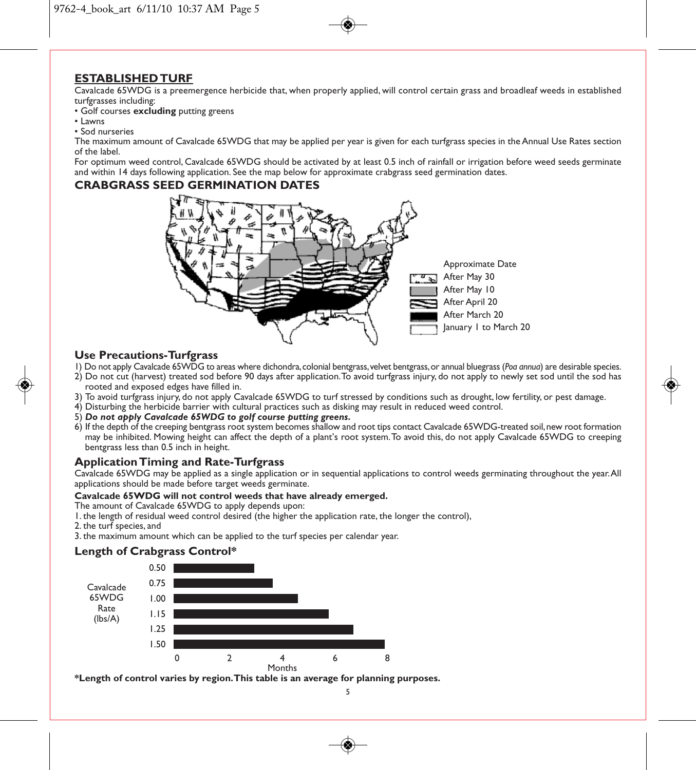#### **ESTABLISHED TURF**

Cavalcade 65WDG is a preemergence herbicide that, when properly applied, will control certain grass and broadleaf weeds in established turfgrasses including:

- Golf courses **excluding** putting greens
- Lawns
- Sod nurseries

The maximum amount of Cavalcade 65WDG that may be applied per year is given for each turfgrass species in the Annual Use Rates section of the label.

For optimum weed control, Cavalcade 65WDG should be activated by at least 0.5 inch of rainfall or irrigation before weed seeds germinate and within 14 days following application. See the map below for approximate crabgrass seed germination dates.

#### **CRABGRASS SEED GERMINATION DATES**



#### **Use Precautions-Turfgrass**

- 1) Do not apply Cavalcade 65WDG to areas where dichondra, colonial bentgrass, velvet bentgrass, or annual bluegrass (*Poa annua*) are desirable species.
- 2) Do not cut (harvest) treated sod before 90 days after application. To avoid turfgrass injury, do not apply to newly set sod until the sod has rooted and exposed edges have filled in.
- 3) To avoid turfgrass injury, do not apply Cavalcade 65WDG to turf stressed by conditions such as drought, low fertility, or pest damage.
- 4) Disturbing the herbicide barrier with cultural practices such as disking may result in reduced weed control.
- 5) *Do not apply Cavalcade 65WDG to golf course putting greens.*
- 6) If the depth of the creeping bentgrass root system becomes shallow and root tips contact Cavalcade 65WDG-treated soil, new root formation may be inhibited. Mowing height can affect the depth of a plant's root system. To avoid this, do not apply Cavalcade 65WDG to creeping bentgrass less than 0.5 inch in height.

#### **Application Timing and Rate-Turfgrass**

Cavalcade 65WDG may be applied as a single application or in sequential applications to control weeds germinating throughout the year. All applications should be made before target weeds germinate.

#### **Cavalcade 65WDG will not control weeds that have already emerged.**

The amount of Cavalcade 65WDG to apply depends upon:

- 1. the length of residual weed control desired (the higher the application rate, the longer the control),
- 2. the turf species, and
- 3. the maximum amount which can be applied to the turf species per calendar year.

#### **Length of Crabgrass Control\***



**\*Length of control varies by region. This table is an average for planning purposes.**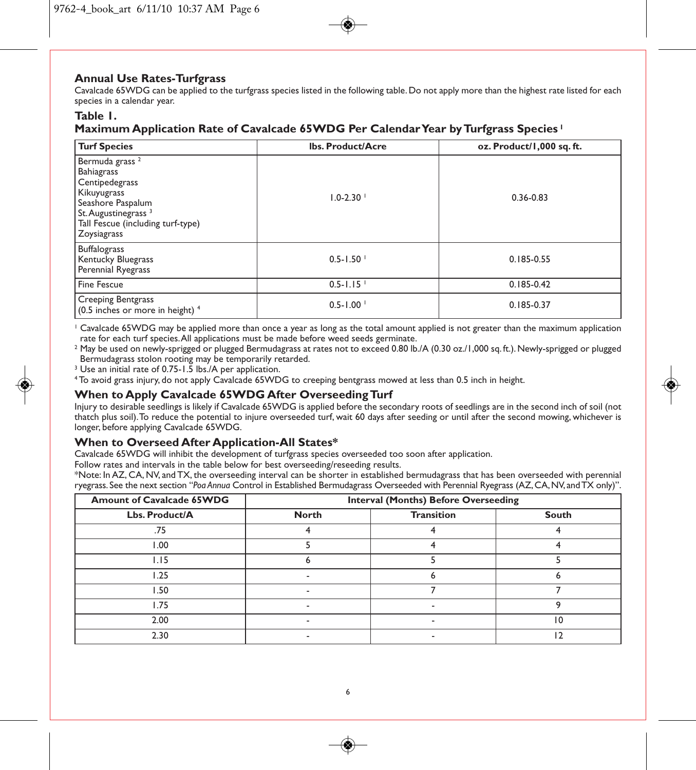#### **Annual Use Rates-Turfgrass**

Cavalcade 65WDG can be applied to the turfgrass species listed in the following table. Do not apply more than the highest rate listed for each species in a calendar year.

#### **Table 1.**

#### **Maximum Application Rate of Cavalcade 65WDG Per Calendar Year by Turfgrass Species <sup>1</sup>**

| <b>Turf Species</b>                                                                                                                                                                          | <b>Ibs. Product/Acre</b> | oz. Product/1,000 sq. ft. |
|----------------------------------------------------------------------------------------------------------------------------------------------------------------------------------------------|--------------------------|---------------------------|
| Bermuda grass <sup>2</sup><br><b>Bahiagrass</b><br>Centipedegrass<br>Kikuyugrass<br>Seashore Paspalum<br>St. Augustinegrass <sup>3</sup><br>Tall Fescue (including turf-type)<br>Zoysiagrass | $1.0 - 2.30$             | $0.36 - 0.83$             |
| Buffalograss<br><b>Kentucky Bluegrass</b><br>Perennial Ryegrass                                                                                                                              | $0.5 - 1.50$             | 0.185-0.55                |
| <b>Fine Fescue</b>                                                                                                                                                                           | $0.5 - 1.15$             | $0.185 - 0.42$            |
| <b>Creeping Bentgrass</b><br>(0.5 inches or more in height) <sup>4</sup>                                                                                                                     | $0.5 - 1.00$             | $0.185 - 0.37$            |

<sup>1</sup> Cavalcade 65WDG may be applied more than once a year as long as the total amount applied is not greater than the maximum application rate for each turf species. All applications must be made before weed seeds germinate.

<sup>2</sup> May be used on newly-sprigged or plugged Bermudagrass at rates not to exceed 0.80 lb./A (0.30 oz./1,000 sq. ft.). Newly-sprigged or plugged Bermudagrass stolon rooting may be temporarily retarded.

<sup>3</sup> Use an initial rate of 0.75-1.5 lbs./A per application.

<sup>4</sup> To avoid grass injury, do not apply Cavalcade 65WDG to creeping bentgrass mowed at less than 0.5 inch in height.

#### **When to Apply Cavalcade 65WDG After Overseeding Turf**

Injury to desirable seedlings is likely if Cavalcade 65WDG is applied before the secondary roots of seedlings are in the second inch of soil (not thatch plus soil). To reduce the potential to injure overseeded turf, wait 60 days after seeding or until after the second mowing, whichever is longer, before applying Cavalcade 65WDG.

#### **When to Overseed After Application-All States\***

Cavalcade 65WDG will inhibit the development of turfgrass species overseeded too soon after application.

Follow rates and intervals in the table below for best overseeding/reseeding results.

\*Note: In AZ, CA, NV, and TX, the overseeding interval can be shorter in established bermudagrass that has been overseeded with perennial ryegrass. See the next section "*Poa Annua* Control in Established Bermudagrass Overseeded with Perennial Ryegrass (AZ, CA, NV, and TX only)".

| <b>Amount of Cavalcade 65WDG</b> | <b>Interval (Months) Before Overseeding</b> |                   |                 |
|----------------------------------|---------------------------------------------|-------------------|-----------------|
| Lbs. Product/A                   | <b>North</b>                                | <b>Transition</b> | South           |
| .75                              |                                             |                   |                 |
| 1.00                             |                                             |                   |                 |
| 1.15                             |                                             |                   |                 |
| 1.25                             |                                             |                   |                 |
| l.50                             | $\overline{\phantom{a}}$                    |                   |                 |
| I.75                             |                                             |                   |                 |
| 2.00                             |                                             |                   | $\overline{10}$ |
| 2.30                             |                                             |                   |                 |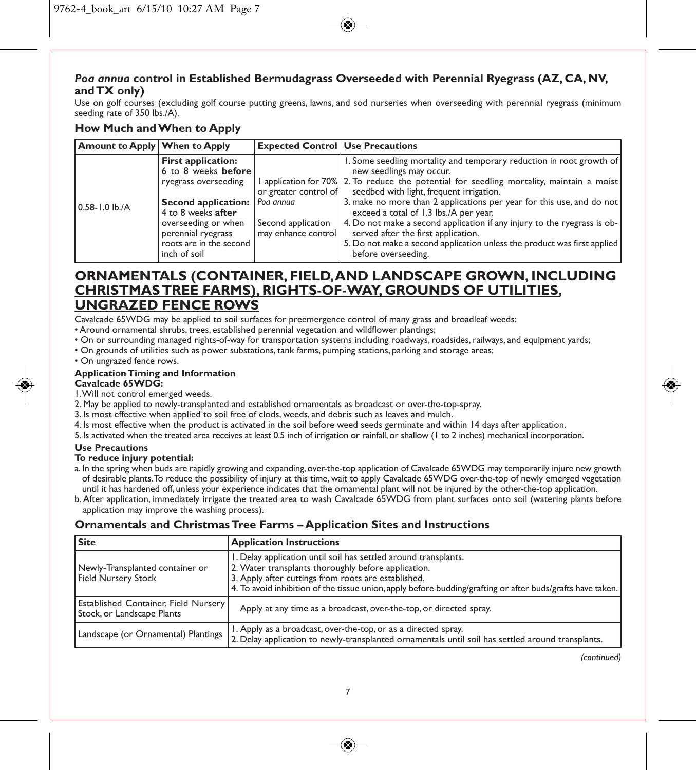#### *Poa annua* **control in Established Bermudagrass Overseeded with Perennial Ryegrass (AZ, CA, NV, and TX only)**

Use on golf courses (excluding golf course putting greens, lawns, and sod nurseries when overseeding with perennial ryegrass (minimum seeding rate of 350 lbs./A).

#### **How Much and When to Apply**

| <b>Amount to Apply When to Apply</b> |                                                  | <b>Expected Control Use Precautions</b>   |                                                                                                                                       |
|--------------------------------------|--------------------------------------------------|-------------------------------------------|---------------------------------------------------------------------------------------------------------------------------------------|
|                                      | <b>First application:</b><br>6 to 8 weeks before |                                           | 1. Some seedling mortality and temporary reduction in root growth of<br>new seedlings may occur.                                      |
|                                      | ryegrass overseeding                             | or greater control of                     | 1 application for 70% 2. To reduce the potential for seedling mortality, maintain a moist<br>seedbed with light, frequent irrigation. |
| $0.58 - 1.0$ lb./A                   | Second application:<br>4 to 8 weeks after        | l Poa annua                               | 3. make no more than 2 applications per year for this use, and do not<br>exceed a total of 1.3 lbs./A per year.                       |
|                                      | overseeding or when<br>perennial ryegrass        | Second application<br>may enhance control | 4. Do not make a second application if any injury to the ryegrass is ob-<br>served after the first application.                       |
|                                      | roots are in the second<br>inch of soil          |                                           | 5. Do not make a second application unless the product was first applied<br>before overseeding.                                       |

### **ORNAMENTALS (CONTAINER, FIELD, AND LANDSCAPE GROWN, INCLUDING CHRISTMAS TREE FARMS), RIGHTS-OF-WAY, GROUNDS OF UTILITIES, UNGRAZED FENCE ROWS**

Cavalcade 65WDG may be applied to soil surfaces for preemergence control of many grass and broadleaf weeds:

- Around ornamental shrubs, trees, established perennial vegetation and wildflower plantings;
- On or surrounding managed rights-of-way for transportation systems including roadways, roadsides, railways, and equipment yards;
- On grounds of utilities such as power substations, tank farms, pumping stations, parking and storage areas;
- On ungrazed fence rows.

#### **Application Timing and Information**

#### **Cavalcade 65WDG:**

1. Will not control emerged weeds.

- 2. May be applied to newly-transplanted and established ornamentals as broadcast or over-the-top-spray.
- 3. Is most effective when applied to soil free of clods, weeds, and debris such as leaves and mulch.
- 4. Is most effective when the product is activated in the soil before weed seeds germinate and within 14 days after application.
- 5. Is activated when the treated area receives at least 0.5 inch of irrigation or rainfall, or shallow (1 to 2 inches) mechanical incorporation.

#### **Use Precautions**

#### **To reduce injury potential:**

- a. In the spring when buds are rapidly growing and expanding, over-the-top application of Cavalcade 65WDG may temporarily injure new growth of desirable plants. To reduce the possibility of injury at this time, wait to apply Cavalcade 65WDG over-the-top of newly emerged vegetation until it has hardened off, unless your experience indicates that the ornamental plant will not be injured by the other-the-top application.
- b. After application, immediately irrigate the treated area to wash Cavalcade 65WDG from plant surfaces onto soil (watering plants before application may improve the washing process).

#### **Ornamentals and Christmas Tree Farms – Application Sites and Instructions**

| Site                                                                      | <b>Application Instructions</b>                                                                                                                                                                                                                                                             |
|---------------------------------------------------------------------------|---------------------------------------------------------------------------------------------------------------------------------------------------------------------------------------------------------------------------------------------------------------------------------------------|
| Newly-Transplanted container or<br>Field Nursery Stock                    | 1. Delay application until soil has settled around transplants.<br>2. Water transplants thoroughly before application.<br>3. Apply after cuttings from roots are established.<br>4. To avoid inhibition of the tissue union, apply before budding/grafting or after buds/grafts have taken. |
| <b>Established Container, Field Nursery</b><br>Stock, or Landscape Plants | Apply at any time as a broadcast, over-the-top, or directed spray.                                                                                                                                                                                                                          |
| Landscape (or Ornamental) Plantings                                       | I. Apply as a broadcast, over-the-top, or as a directed spray.<br>2. Delay application to newly-transplanted ornamentals until soil has settled around transplants.                                                                                                                         |

*(continued)*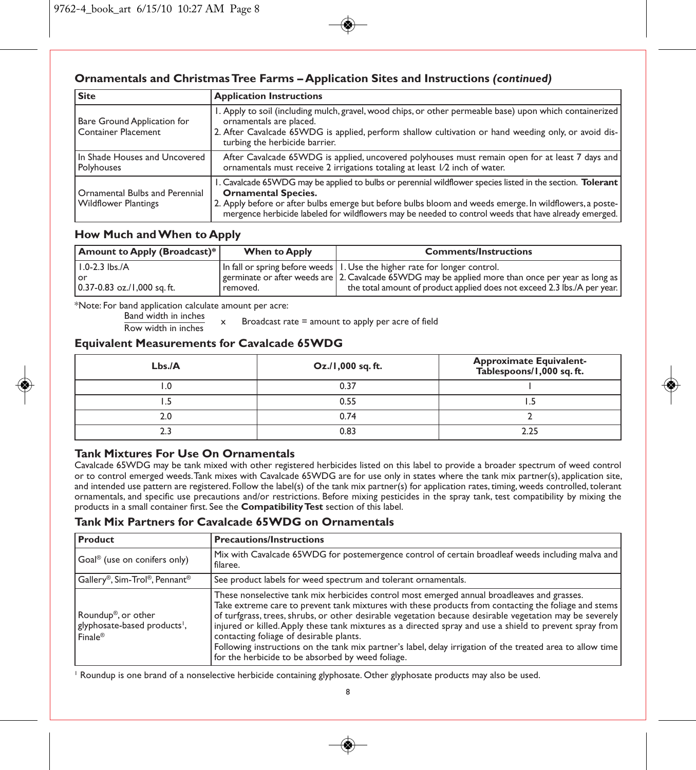#### **Ornamentals and Christmas Tree Farms – Application Sites and Instructions** *(continued)*

| <b>Site</b>                                                   | <b>Application Instructions</b>                                                                                                                                                                                                                                                                                                                             |
|---------------------------------------------------------------|-------------------------------------------------------------------------------------------------------------------------------------------------------------------------------------------------------------------------------------------------------------------------------------------------------------------------------------------------------------|
| Bare Ground Application for<br>Container Placement            | 1. Apply to soil (including mulch, gravel, wood chips, or other permeable base) upon which containerized<br>ornamentals are placed.<br>2. After Cavalcade 65WDG is applied, perform shallow cultivation or hand weeding only, or avoid dis-<br>turbing the herbicide barrier.                                                                               |
| In Shade Houses and Uncovered<br>Polyhouses                   | After Cavalcade 65WDG is applied, uncovered polyhouses must remain open for at least 7 days and<br>ornamentals must receive 2 irrigations totaling at least 1/2 inch of water.                                                                                                                                                                              |
| Ornamental Bulbs and Perennial<br><b>Wildflower Plantings</b> | 1. Cavalcade 65WDG may be applied to bulbs or perennial wildflower species listed in the section. Tolerant<br><b>Ornamental Species.</b><br>2. Apply before or after bulbs emerge but before bulbs bloom and weeds emerge. In wildflowers, a poste-<br>mergence herbicide labeled for wildflowers may be needed to control weeds that have already emerged. |

#### **How Much and When to Apply**

| Amount to Apply (Broadcast)*                              | <b>When to Apply</b> | <b>Comments/Instructions</b>                                                                                                                                                                                                                                 |
|-----------------------------------------------------------|----------------------|--------------------------------------------------------------------------------------------------------------------------------------------------------------------------------------------------------------------------------------------------------------|
| I.0-2.3 lbs./A<br>l or<br>$0.37 - 0.83$ oz./1,000 sq. ft. | ' removed.           | In fall or spring before weeds   I. Use the higher rate for longer control.<br>germinate or after weeds are 2. Cavalcade 65WDG may be applied more than once per year as long as<br>the total amount of product applied does not exceed 2.3 lbs./A per year. |

\*Note: For band application calculate amount per acre:

 $\frac{\text{Band width in metres}}{\text{Row width in inches}}$  x Broadcast rate = amount to apply per acre of field

#### **Equivalent Measurements for Cavalcade 65WDG**

| Lbs.A | $Oz$ ./1,000 sq.ft. | Approximate Equivalent-<br>Tablespoons/1,000 sq. ft. |
|-------|---------------------|------------------------------------------------------|
| 0. ا  | 0.37                |                                                      |
| .     | 0.55                |                                                      |
| 2.0   | 0.74                |                                                      |
|       | 0.83                | 2.25                                                 |

#### **Tank Mixtures For Use On Ornamentals**

Cavalcade 65WDG may be tank mixed with other registered herbicides listed on this label to provide a broader spectrum of weed control or to control emerged weeds. Tank mixes with Cavalcade 65WDG are for use only in states where the tank mix partner(s), application site, and intended use pattern are registered. Follow the label(s) of the tank mix partner(s) for application rates, timing, weeds controlled, tolerant ornamentals, and specific use precautions and/or restrictions. Before mixing pesticides in the spray tank, test compatibility by mixing the products in a small container first. See the **Compatibility Test** section of this label.

#### **Tank Mix Partners for Cavalcade 65WDG on Ornamentals**

| Product                                                                                             | <b>Precautions/Instructions</b>                                                                                                                                                                                                                                                                                                                                                                                                                                                                                                                                                                                                         |
|-----------------------------------------------------------------------------------------------------|-----------------------------------------------------------------------------------------------------------------------------------------------------------------------------------------------------------------------------------------------------------------------------------------------------------------------------------------------------------------------------------------------------------------------------------------------------------------------------------------------------------------------------------------------------------------------------------------------------------------------------------------|
| Goal <sup>®</sup> (use on conifers only)                                                            | Mix with Cavalcade 65WDG for postemergence control of certain broadleaf weeds including malva and<br>filaree.                                                                                                                                                                                                                                                                                                                                                                                                                                                                                                                           |
| $ $ Gallery®, Sim-Trol®, Pennant®                                                                   | See product labels for weed spectrum and tolerant ornamentals.                                                                                                                                                                                                                                                                                                                                                                                                                                                                                                                                                                          |
| Roundup <sup>®</sup> , or other<br>glyphosate-based products <sup>1</sup> ,<br>$Finale^{\circledR}$ | These nonselective tank mix herbicides control most emerged annual broadleaves and grasses.<br>Take extreme care to prevent tank mixtures with these products from contacting the foliage and stems<br>of turfgrass, trees, shrubs, or other desirable vegetation because desirable vegetation may be severely<br>injured or killed. Apply these tank mixtures as a directed spray and use a shield to prevent spray from<br>contacting foliage of desirable plants.<br>Following instructions on the tank mix partner's label, delay irrigation of the treated area to allow time<br>for the herbicide to be absorbed by weed foliage. |

<sup>1</sup> Roundup is one brand of a nonselective herbicide containing glyphosate. Other glyphosate products may also be used.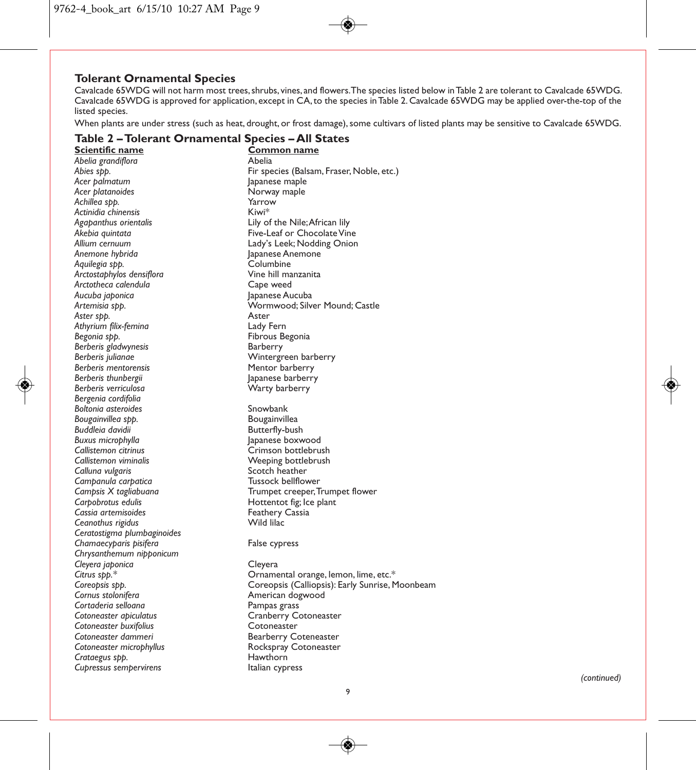#### **Tolerant Ornamental Species**

Cavalcade 65WDG will not harm most trees, shrubs, vines, and flowers. The species listed below in Table 2 are tolerant to Cavalcade 65WDG. Cavalcade 65WDG is approved for application, except in CA, to the species in Table 2. Cavalcade 65WDG may be applied over-the-top of the listed species.

When plants are under stress (such as heat, drought, or frost damage), some cultivars of listed plants may be sensitive to Cavalcade 65WDG.

| Scientific name             | <u>Common name</u>                              |
|-----------------------------|-------------------------------------------------|
| Abelia grandiflora          | Abelia                                          |
| Abies spp.                  | Fir species (Balsam, Fraser, Noble, etc.)       |
| Acer palmatum               | Japanese maple                                  |
| Acer platanoides            | Norway maple                                    |
| Achillea spp.               | Yarrow                                          |
| Actinidia chinensis         | Kiwi*                                           |
| Agapanthus orientalis       | Lily of the Nile; African lily                  |
| Akebia quintata             | Five-Leaf or Chocolate Vine                     |
| Allium cernuum              | Lady's Leek; Nodding Onion                      |
| Anemone hybrida             | Japanese Anemone                                |
| Aquilegia spp.              | Columbine                                       |
| Arctostaphylos densiflora   | Vine hill manzanita                             |
| Arctotheca calendula        | Cape weed                                       |
| Aucuba japonica             | Japanese Aucuba                                 |
| Artemisia spp.              | Wormwood; Silver Mound; Castle                  |
| Aster spp.                  | Aster                                           |
| Athyrium filix-femina       | Lady Fern                                       |
| Begonia spp.                | Fibrous Begonia                                 |
| Berberis gladwynesis        | Barberry                                        |
| Berberis julianae           | Wintergreen barberry                            |
| Berberis mentorensis        | Mentor barberry                                 |
| Berberis thunbergii         | Japanese barberry                               |
| Berberis verriculosa        | Warty barberry                                  |
| Bergenia cordifolia         |                                                 |
| <b>Boltonia asteroides</b>  | Snowbank                                        |
| Bougainvillea spp.          | Bougainvillea                                   |
| Buddleia davidii            | Butterfly-bush                                  |
| Buxus microphylla           | Japanese boxwood                                |
| Callistemon citrinus        | Crimson bottlebrush                             |
| Callistemon viminalis       | Weeping bottlebrush                             |
| Calluna vulgaris            | Scotch heather                                  |
| Campanula carpatica         | Tussock bellflower                              |
| Campsis X tagliabuana       | Trumpet creeper, Trumpet flower                 |
| Carpobrotus edulis          | Hottentot fig; Ice plant                        |
| Cassia artemisoides         | Feathery Cassia                                 |
| Ceanothus rigidus           | Wild lilac                                      |
| Ceratostigma plumbaginoides |                                                 |
| Chamaecyparis pisifera      | False cypress                                   |
| Chrysanthemum nipponicum    |                                                 |
| Cleyera japonica            | Cleyera                                         |
| Citrus spp.*                | Ornamental orange, lemon, lime, etc.*           |
| Coreopsis spp.              | Coreopsis (Calliopsis): Early Sunrise, Moonbeam |
| Cornus stolonifera          | American dogwood                                |
| Cortaderia selloana         | Pampas grass                                    |
| Cotoneaster apiculatus      | Cranberry Cotoneaster                           |
| Cotoneaster buxifolius      | Cotoneaster                                     |
| Cotoneaster dammeri         | <b>Bearberry Coteneaster</b>                    |
| Cotoneaster microphyllus    | Rockspray Cotoneaster                           |
| Crataegus spp.              | Hawthorn                                        |
| Cupressus sempervirens      | Italian cypress                                 |

#### **Table 2 – Tolerant Ornamental Species – All States**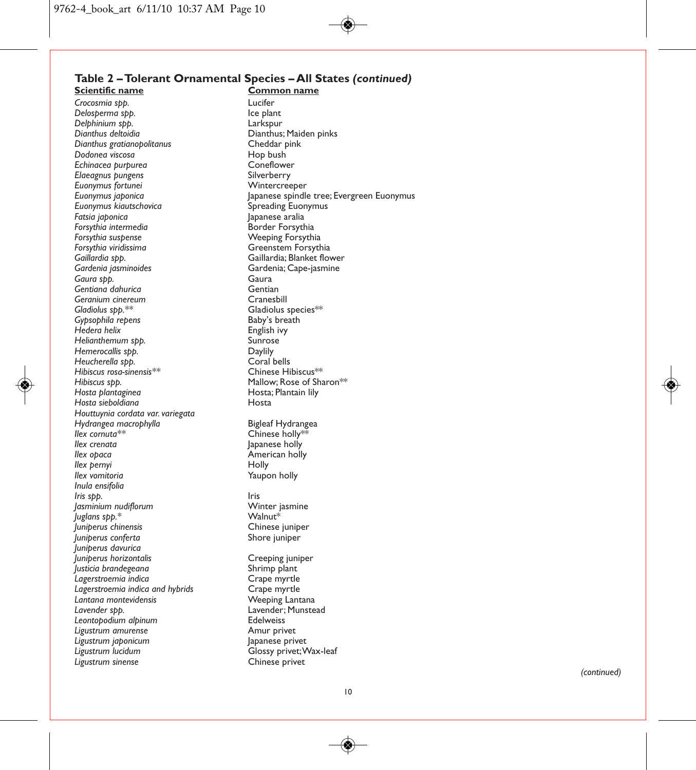# **Table 2 – Tolerant Ornamental Species – All States** *(continued)*

*Crocosmia spp.* Lucifer *Delosperma spp.* Ice plant *Delphinium spp.*<br>Dianthus deltoidia *Dianthus gratianopolitanus* Cheddar pink *Dodonea viscosa* Hop bush *Echinacea purpurea* Coneflower *Elaeagnus pungens* Silverberry *Euonymus fortunei*<br>Euonymus japonica *Euonymus kiautschovica* Spreading Euonymus *Fatsia japonica* Japanese aralia Forsythia intermedia **by the South Border Forsythia**<br>Forsythia suspense **by the South South South America** Property *Forsythia suspense* Weeping Forsythia *Forsythia viridissima* Greenstem Forsythia *Gaillardia spp.* Gaillardia; Blanket flower *Gaura spp.* Gaura *Gentiana dahurica* Gentian *Geranium cinereum*<br>*Gladiolus spp.*\*\* *Gypsophila repens* **Baby's breath Communist Communist Communist Communist Communist Communist Communist Communist Communist Communist Communist Communist Communist Communist Communist Communist Communist Communist Communi** *Hedera helix* English ivy *Helianthemum spp.* Sunrose **Hemerocallis spp. Daylily Daylily Daylily Coral bells** *Heucherella spp.* Coral bells *Hibiscus rosa-sinensis\*\**<br>Hibiscus spp. *Hosta plantaginea* Hosta; Plantain lily *Hosta sieboldiana* Hosta *Houttuynia cordata var. variegata Hydrangea macrophylla* **Bigleaf Hydrangea**<br> *Ilex cornuta\*\** Chinese holly<sup>198</sup> **Ilex cornuta\*\*** The Chinese holly is a cornutation of the Chinese holly is a series of the cornutation of the cornutation of the cornutation of the cornutation of the cornutation of the cornutation of the cornutation of t *Ilex crenata* Japanese holly *Ilex pernyi*<br>*Ilex vomitoria Inula ensifolia Iris spp.* Iris *Jasminium nudiflorum* Winter jasmine *Juglans spp.\** Walnut\* *Juniperus chinensis* Chinese juniper *Juniperus conferta Juniperus davurica Juniperus horizontalis* Creeping juniper *Justicia brandegeana* Shrimp plant *Lagerstroemia indica* Crape myrtle *Lagerstroemia indica and hybrids* Crape myrtle **Lantana montevidensis**<br>Lavender spp. *Leontopodium alpinum* Edelweiss *Ligustrum amurense* Amur privet *Ligustrum japonicum*<br>Ligustrum lucidum Ligustrum sinense

**Scientific name Common name** Dianthus; Maiden pinks<br>Cheddar pink Japanese spindle tree; Evergreen Euonymus<br>Spreading Euonymus **Gardenia; Cape-jasmine**<br>Gaura *Gladiolus species\*\**<br>Baby's breath Mallow; Rose of Sharon<sup>\*\*</sup><br>Hosta: Plantain lilv *American holly<br>Holly* Yaupon holly Lavender; Munstead<br>Edelweiss *Ligustrum lucidum* Glossy privet; Wax-leaf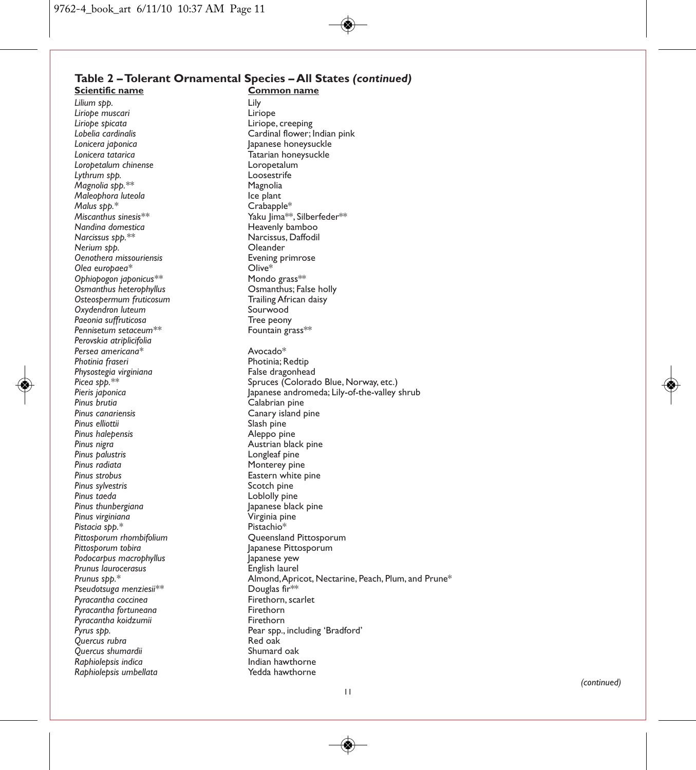# **Table 2 – Tolerant Ornamental Species – All States** *(continued)*

*Lilium spp.* Lily *Liriope muscari* Liriope *Liriope spicata* Liriope, creeping *Lonicera japonica* Japanese honeysuckle *Loropetalum chinense* Loropetalum *Lythrum spp.* Loosestrife *Magnolia spp.\*\** and magnolia space of the Magnolia metal of the Magnolia metal of the Magnolia metal of the Ma<br>Maleophora luteola metal metal metal metal metal metal metal metal metal metal metal metal metal metal metal *Maleophora luteola*<br>*Malus spp.\* Malus spp.\** Crabapple\* *Nandina domestica* **Heavenly bamboo**<br> *Narcissus sbb*<sup>\*\*</sup><br> *Narcissus sbb*<sup>\*\*</sup> *Nerium spp.* Oleander *Oenothera missouriensis* exeming primarily exeming primarily exempled by the Sevening primarily exemple to the S<br>Clive and Dive and Dive and Dive and Dive and Dive and Dive and Dive and Dive and Dive and Dive and Dive and *Olea europaea\** Olive\* *Ophiopogon japonicus\*\** Mondo grass\*\* *Osmanthus heterophyllus* Osmanthus; False holly *Osteospermum fruticosum* Trailing African daisy *Oxydendron luteum* Sourwood *Paeonia suffruticosa*<br>Pennisetum setaceum<sup>\*\*</sup><br>Pennisetum setaceum<sup>\*\*</sup>  $P$ ennisetum setaceum<sup>\*\*</sup> *Perovskia atriplicifolia Persea americana\** Avocado\* *Physostegia virginiana*<br>Picea spp.\*\* *Pinus brutia* Calabrian pine *Pinus canariensis* Canary island pine *Pinus halepensis*<br>*Pinus nigra Pinus nigra* Austrian black pine *Pinus palustris* Longleaf pine **Pinus radiata** and a monterey pine **Pinus radiata** and a monte of the **Pinus radiate** and **Pinus radiate** a monte **radiate** and **Pinus radiate** a monte **radiate** a monte **radiate** a monte **radiate** a monte **radiate** a mon *Pinus sylvestris*<br>Pinus taeda *Pinus taeda* Loblolly pine *Pinus virginiana* Virginia pine *Pistacia spp.\**<br>Pittosporum rhombifolium *Podocarpus macrophyllus* Japanese yew *Prunus laurocerasus*<br>Prunus spp.\* *Pseudotsuga menziesii\*\** Douglas fir\*\* Pyracantha coccinea **Firethorn, scarled to the Second Person**<br>Pyracantha fortuneana **Firethorn** Pyracantha fortuneana *formacana a firethorn*<br>Pyracantha koidzumii a firethorn *Pyracantha koidzumii*<br>Pyrus spp. *Quercus rubra* Red oak *Quercus shumardii* Shumard oak *Raphiolepsis indica* Indian hawthorne  $R$ aphiolepsis umbellata

**Common name** *Lobelia cardinalis* Cardinal flower; Indian pink *-*<br>Tatarian honeysuckle<br>Loropetalum *Miscanthus sinesis\*\** Yaku Jima\*\*, Silberfeder\*\* *N*arcissus, Daffodil<br>Oleander **Photinia; Redtip<br>False dragonhead** Picea spp.<sup>\*\*</sup> interest of the Spruces (Colorado Blue, Norway, etc.)<br>Pieris igbonica interests of the Spannese andromeda; Lily-of-the-valley s *Pieris japonica* Japanese andromeda; Lily-of-the-valley shrub *Pinus elliottii* Slash pine *Pinus strobus* Eastern white pine Japanese black pine<br>Virginia pine *Pittosporum rhombifolium* Queensland Pittosporum **Japanese Pittosporum**<br>Japanese yew *Al*mond, Apricot, Nectarine, Peach, Plum, and Prune\*<br>Douglas fir\*\* Pear spp., including 'Bradford'<br>Red oak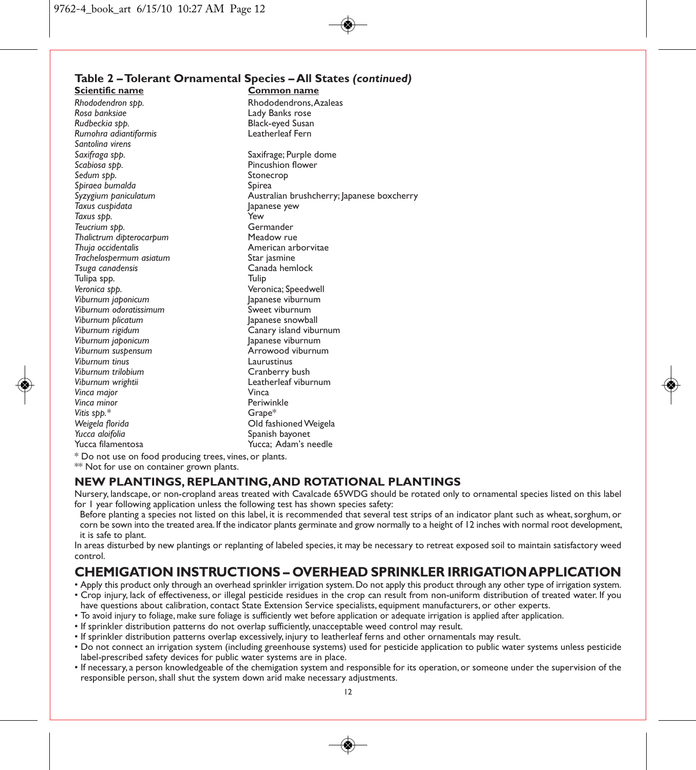#### **Table 2 – Tolerant Ornamental Species – All States** *(continued)* **Scientific name Common name**

*Rhododendron spp.* Rhododendrons, Azaleas *Rosa banksiae* Lady Banks rose **Black-eyed Susan<br>Leatherleaf Fern Rumohra adiantiformis** *Santolina virens Saxifraga spp.* Saxifrage; Purple dome **Pincushion flower**<br>Stonecrop *Sedum spp.* Stonecrop Spiraea bumalda<br>Syzygium paniculatum *Syzygium paniculatum* Australian brushcherry; Japanese boxcherry *Taxus cuspidata* Japanese yew *Taxus spp.* Yew *Teucrium spp.* Germander *Thalictrum dipterocarpum*<br>*Thuia occidentalis Thuja occidentalis* American arborvitae *Trachelospermum asiatum*<br>Tsuga canadensis Canada hemlock<br>Tulip Tulipa spp.<br>Veronica sbb. **Veronica**; Speedwell<br>
lapanese viburnum *Viburnum japonicum* Japanese viburnum Viburnum odoratissimum<br>Viburnum blicatum *Viburnum plicatum* Japanese snowball *Canary island viburnum*<br>Japanese viburnum *Viburnum japonicum* Japanese viburnum *Viburnum suspensum* Arrowood viburnum .<br>Viburnum tinus<br>Viburnum trilobium *Viburnum trilobium* Cranberry bush Leatherleaf viburnum<br>Vinca *Vinca major* Vinca *Vinca minor*<br>Periwinkle and the prime of the Periwinkle Strape<sup>\*</sup> Vitis spp.\*<br>Weigela florida *Weigela florida* Old fashioned Weigela *Yucca aloifolia* Spanish bayonet Yucca: Adam's needle

\* Do not use on food producing trees, vines, or plants.

\*\* Not for use on container grown plants.

#### **NEW PLANTINGS, REPLANTING, AND ROTATIONAL PLANTINGS**

Nursery, landscape, or non-cropland areas treated with Cavalcade 65WDG should be rotated only to ornamental species listed on this label for 1 year following application unless the following test has shown species safety:

Before planting a species not listed on this label, it is recommended that several test strips of an indicator plant such as wheat, sorghum, or corn be sown into the treated area. If the indicator plants germinate and grow normally to a height of 12 inches with normal root development, it is safe to plant.

In areas disturbed by new plantings or replanting of labeled species, it may be necessary to retreat exposed soil to maintain satisfactory weed control.

# **CHEMIGATION INSTRUCTIONS – OVERHEAD SPRINKLER IRRIGATlON APPLICATION**

- Apply this product only through an overhead sprinkler irrigation system. Do not apply this product through any other type of irrigation system.
- Crop injury, lack of effectiveness, or illegal pesticide residues in the crop can result from non-uniform distribution of treated water. If you have questions about calibration, contact State Extension Service specialists, equipment manufacturers, or other experts.
- To avoid injury to foliage, make sure foliage is sufficiently wet before application or adequate irrigation is applied after application.
- If sprinkler distribution patterns do not overlap sufficiently, unacceptable weed control may result.
- If sprinkler distribution patterns overlap excessively, injury to leatherleaf ferns and other ornamentals may result.
- Do not connect an irrigation system (including greenhouse systems) used for pesticide application to public water systems unless pesticide label-prescribed safety devices for public water systems are in place.
- If necessary, a person knowledgeable of the chemigation system and responsible for its operation, or someone under the supervision of the responsible person, shall shut the system down arid make necessary adjustments.